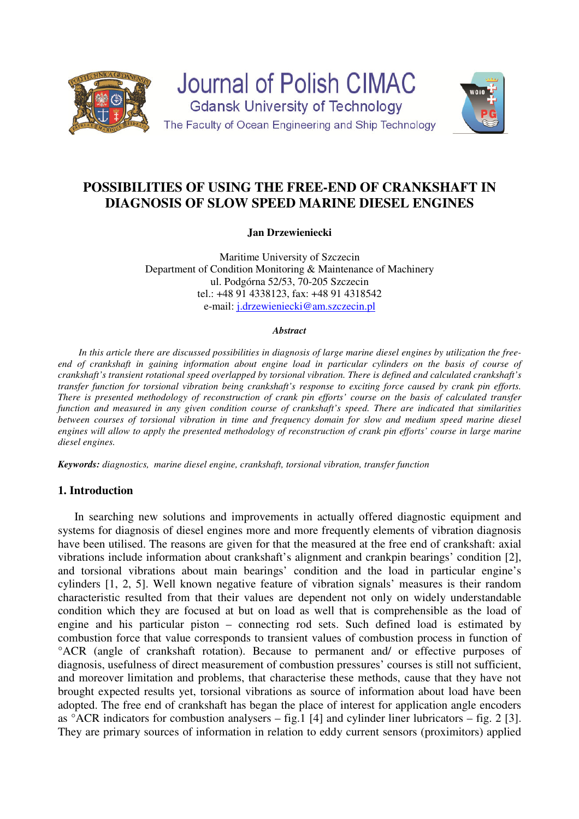

# **POSSIBILITIES OF USING THE FREE-END OF CRANKSHAFT IN DIAGNOSIS OF SLOW SPEED MARINE DIESEL ENGINES**

**Jan Drzewieniecki** 

Maritime University of Szczecin Department of Condition Monitoring & Maintenance of Machinery ul. Podgórna 52/53, 70-205 Szczecin tel.: +48 91 4338123, fax: +48 91 4318542 e-mail: j.drzewieniecki@am.szczecin.pl

#### *Abstract*

*In this article there are discussed possibilities in diagnosis of large marine diesel engines by utilization the freeend of crankshaft in gaining information about engine load in particular cylinders on the basis of course of crankshaft's transient rotational speed overlapped by torsional vibration. There is defined and calculated crankshaft's transfer function for torsional vibration being crankshaft's response to exciting force caused by crank pin efforts. There is presented methodology of reconstruction of crank pin efforts' course on the basis of calculated transfer function and measured in any given condition course of crankshaft's speed. There are indicated that similarities between courses of torsional vibration in time and frequency domain for slow and medium speed marine diesel engines will allow to apply the presented methodology of reconstruction of crank pin efforts' course in large marine diesel engines.* 

*Keywords: diagnostics, marine diesel engine, crankshaft, torsional vibration, transfer function* 

### **1. Introduction**

In searching new solutions and improvements in actually offered diagnostic equipment and systems for diagnosis of diesel engines more and more frequently elements of vibration diagnosis have been utilised. The reasons are given for that the measured at the free end of crankshaft: axial vibrations include information about crankshaft's alignment and crankpin bearings' condition [2], and torsional vibrations about main bearings' condition and the load in particular engine's cylinders [1, 2, 5]. Well known negative feature of vibration signals' measures is their random characteristic resulted from that their values are dependent not only on widely understandable condition which they are focused at but on load as well that is comprehensible as the load of engine and his particular piston – connecting rod sets. Such defined load is estimated by combustion force that value corresponds to transient values of combustion process in function of °ACR (angle of crankshaft rotation). Because to permanent and/ or effective purposes of diagnosis, usefulness of direct measurement of combustion pressures' courses is still not sufficient, and moreover limitation and problems, that characterise these methods, cause that they have not brought expected results yet, torsional vibrations as source of information about load have been adopted. The free end of crankshaft has began the place of interest for application angle encoders as  $\degree$ ACR indicators for combustion analysers – fig. 1 [4] and cylinder liner lubricators – fig. 2 [3]. They are primary sources of information in relation to eddy current sensors (proximitors) applied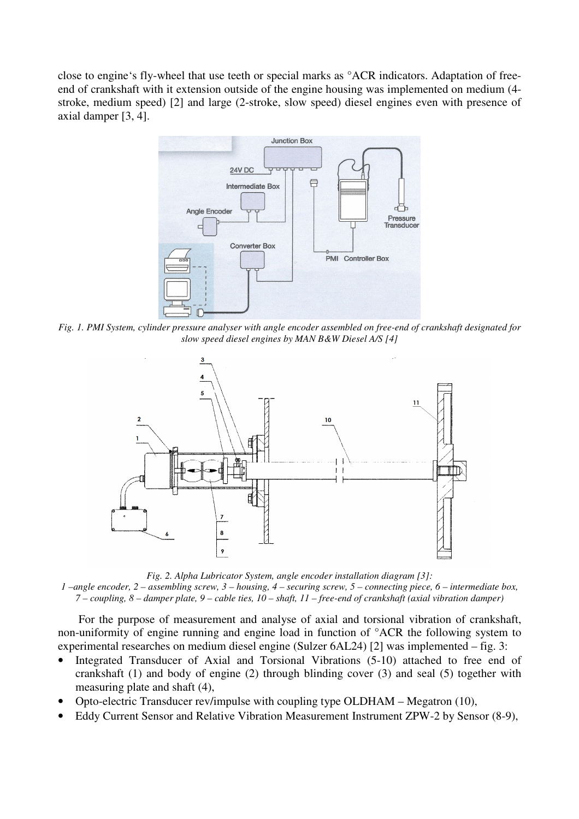close to engine's fly-wheel that use teeth or special marks as °ACR indicators. Adaptation of freeend of crankshaft with it extension outside of the engine housing was implemented on medium (4 stroke, medium speed) [2] and large (2-stroke, slow speed) diesel engines even with presence of axial damper [3, 4].



*Fig. 1. PMI System, cylinder pressure analyser with angle encoder assembled on free-end of crankshaft designated for slow speed diesel engines by MAN B&W Diesel A/S [4]* 



*Fig. 2. Alpha Lubricator System, angle encoder installation diagram [3]: 1 –angle encoder, 2 – assembling screw, 3 – housing, 4 – securing screw, 5 – connecting piece, 6 – intermediate box, 7 – coupling, 8 – damper plate, 9 – cable ties, 10 – shaft, 11 – free-end of crankshaft (axial vibration damper)* 

For the purpose of measurement and analyse of axial and torsional vibration of crankshaft, non-uniformity of engine running and engine load in function of °ACR the following system to experimental researches on medium diesel engine (Sulzer 6AL24) [2] was implemented – fig. 3:

- Integrated Transducer of Axial and Torsional Vibrations (5-10) attached to free end of crankshaft (1) and body of engine (2) through blinding cover (3) and seal (5) together with measuring plate and shaft (4),
- Opto-electric Transducer rev/impulse with coupling type OLDHAM Megatron (10),
- Eddy Current Sensor and Relative Vibration Measurement Instrument ZPW-2 by Sensor (8-9),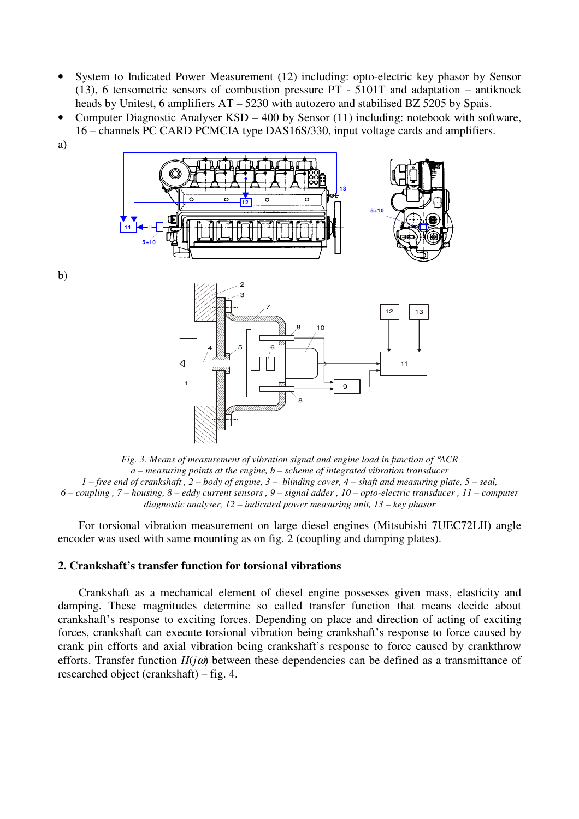- System to Indicated Power Measurement (12) including: opto-electric key phasor by Sensor (13), 6 tensometric sensors of combustion pressure PT - 5101T and adaptation – antiknock heads by Unitest, 6 amplifiers AT – 5230 with autozero and stabilised BZ 5205 by Spais.
- Computer Diagnostic Analyser KSD 400 by Sensor (11) including: notebook with software, 16 – channels PC CARD PCMCIA type DAS16S/330, input voltage cards and amplifiers.
- a)



*Fig. 3. Means of measurement of vibration signal and engine load in function of* °*ACR a – measuring points at the engine, b – scheme of integrated vibration transducer 1 – free end of crankshaft , 2 – body of engine, 3 – blinding cover, 4 – shaft and measuring plate, 5 – seal, 6 – coupling , 7 – housing, 8 – eddy current sensors , 9 – signal adder , 10 – opto-electric transducer , 11 – computer diagnostic analyser, 12 – indicated power measuring unit, 13 – key phasor* 

For torsional vibration measurement on large diesel engines (Mitsubishi 7UEC72LII) angle encoder was used with same mounting as on fig. 2 (coupling and damping plates).

## **2. Crankshaft's transfer function for torsional vibrations**

Crankshaft as a mechanical element of diesel engine possesses given mass, elasticity and damping. These magnitudes determine so called transfer function that means decide about crankshaft's response to exciting forces. Depending on place and direction of acting of exciting forces, crankshaft can execute torsional vibration being crankshaft's response to force caused by crank pin efforts and axial vibration being crankshaft's response to force caused by crankthrow efforts. Transfer function  $H(i\omega)$  between these dependencies can be defined as a transmittance of researched object (crankshaft) – fig. 4.

b)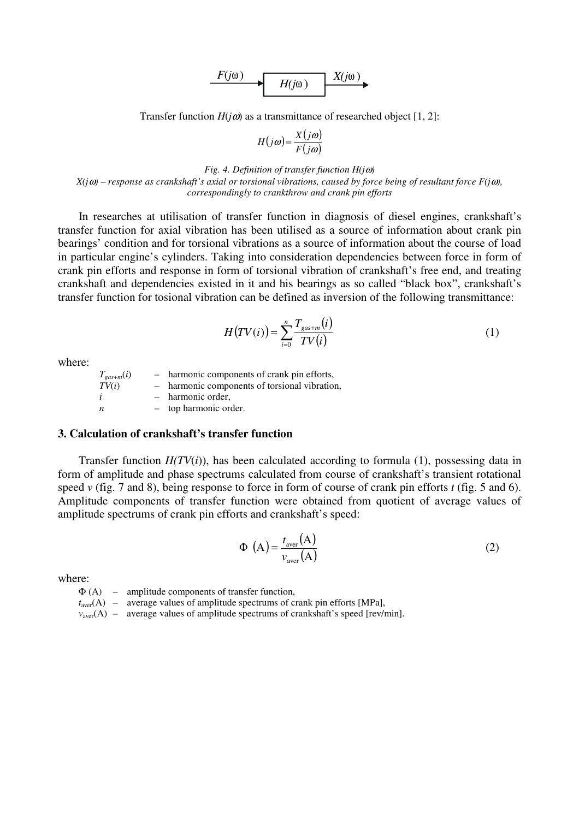$$
F(j\omega) \longrightarrow H(j\omega) \longrightarrow X(j\omega)
$$

Transfer function  $H(j\omega)$  as a transmittance of researched object [1, 2]:

$$
H(j\omega) = \frac{X(j\omega)}{F(j\omega)}
$$

*Fig. 4. Definition of transfer function H(j*ω*) X(j*ω*) – response as crankshaft's axial or torsional vibrations, caused by force being of resultant force F(j*ω*), correspondingly to crankthrow and crank pin efforts*

In researches at utilisation of transfer function in diagnosis of diesel engines, crankshaft's transfer function for axial vibration has been utilised as a source of information about crank pin bearings' condition and for torsional vibrations as a source of information about the course of load in particular engine's cylinders. Taking into consideration dependencies between force in form of crank pin efforts and response in form of torsional vibration of crankshaft's free end, and treating crankshaft and dependencies existed in it and his bearings as so called "black box", crankshaft's transfer function for tosional vibration can be defined as inversion of the following transmittance:

$$
H\big(TV(i)\big) = \sum_{i=0}^{n} \frac{T_{\text{gas}+m}(i)}{TV(i)}\tag{1}
$$

where:

 $T_{gas+m}(i)$  – harmonic components of crank pin efforts,<br> $TV(i)$  – harmonic components of torsional vibration - harmonic components of torsional vibration, *i* – harmonic order, *n* – top harmonic order.

#### **3. Calculation of crankshaft's transfer function**

Transfer function  $H(TV(i))$ , has been calculated according to formula (1), possessing data in form of amplitude and phase spectrums calculated from course of crankshaft's transient rotational speed *v* (fig. 7 and 8), being response to force in form of course of crank pin efforts *t* (fig. 5 and 6). Amplitude components of transfer function were obtained from quotient of average values of amplitude spectrums of crank pin efforts and crankshaft's speed:

$$
\Phi\left(A\right) = \frac{t_{\text{aver}}(A)}{v_{\text{aver}}(A)}\tag{2}
$$

where:

 $\Phi$  (A) – amplitude components of transfer function,

 $t<sub>aver</sub>(A)$  – average values of amplitude spectrums of crank pin efforts [MPa],

 $v<sub>aver</sub>(A)$  – average values of amplitude spectrums of crankshaft's speed [rev/min].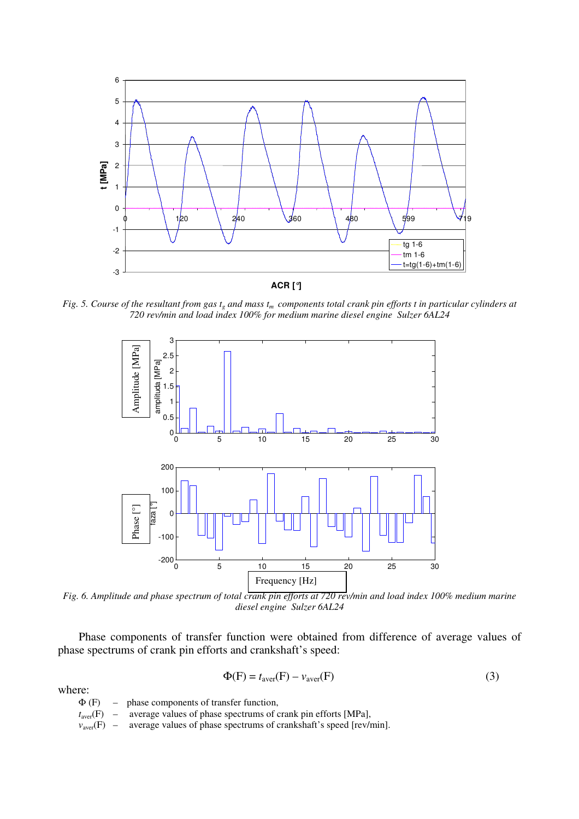

*Fig. 5. Course of the resultant from gas tg and mass tm components total crank pin efforts t in particular cylinders at 720 rev/min and load index 100% for medium marine diesel engine Sulzer 6AL24* 



*Fig. 6. Amplitude and phase spectrum of total crank pin efforts at 720 rev/min and load index 100% medium marine diesel engine Sulzer 6AL24* 

Phase components of transfer function were obtained from difference of average values of phase spectrums of crank pin efforts and crankshaft's speed:

$$
\Phi(\mathbf{F}) = t_{\text{aver}}(\mathbf{F}) - v_{\text{aver}}(\mathbf{F})
$$
\n(3)

where:

|  | $\Phi$ (F) – phase components of transfer function,                                  |
|--|--------------------------------------------------------------------------------------|
|  | $t_{\text{aver}}(F)$ – average values of phase spectrums of crank pin efforts [MPa], |
|  |                                                                                      |

*v*<sub>aver</sub>(F) – average values of phase spectrums of crankshaft's speed [rev/min].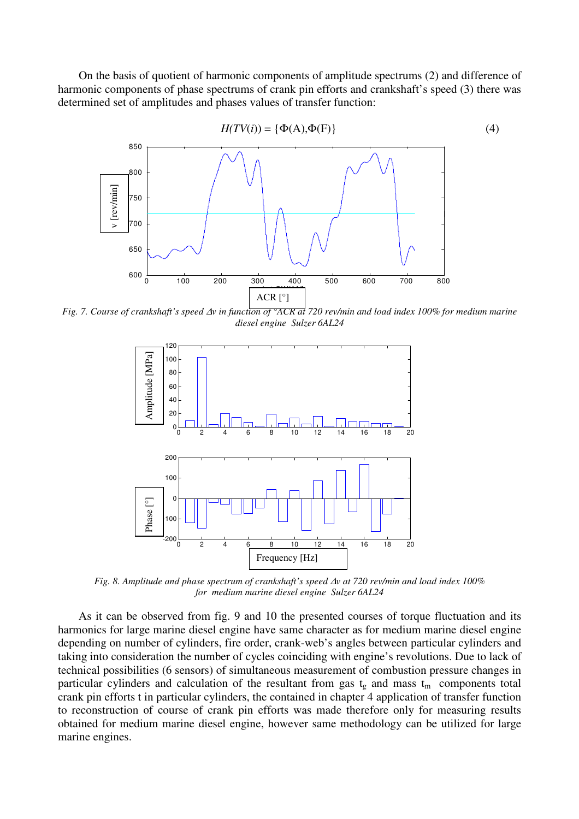On the basis of quotient of harmonic components of amplitude spectrums (2) and difference of harmonic components of phase spectrums of crank pin efforts and crankshaft's speed (3) there was determined set of amplitudes and phases values of transfer function:



*Fig. 7. Course of crankshaft's speed* ∆*v in function of °ACR at 720 rev/min and load index 100% for medium marine diesel engine Sulzer 6AL24* 



*Fig. 8. Amplitude and phase spectrum of crankshaft's speed* ∆*v at 720 rev/min and load index 100% for medium marine diesel engine Sulzer 6AL24* 

As it can be observed from fig. 9 and 10 the presented courses of torque fluctuation and its harmonics for large marine diesel engine have same character as for medium marine diesel engine depending on number of cylinders, fire order, crank-web's angles between particular cylinders and taking into consideration the number of cycles coinciding with engine's revolutions. Due to lack of technical possibilities (6 sensors) of simultaneous measurement of combustion pressure changes in particular cylinders and calculation of the resultant from gas  $t_g$  and mass  $t_m$  components total crank pin efforts t in particular cylinders, the contained in chapter 4 application of transfer function to reconstruction of course of crank pin efforts was made therefore only for measuring results obtained for medium marine diesel engine, however same methodology can be utilized for large marine engines.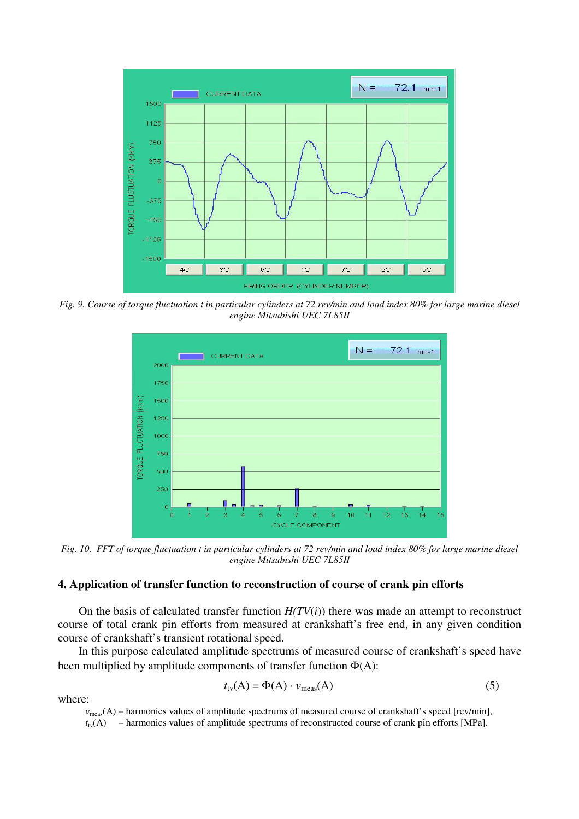

*Fig. 9. Course of torque fluctuation t in particular cylinders at 72 rev/min and load index 80% for large marine diesel engine Mitsubishi UEC 7L85II* 



*Fig. 10. FFT of torque fluctuation t in particular cylinders at 72 rev/min and load index 80% for large marine diesel engine Mitsubishi UEC 7L85II* 

# **4. Application of transfer function to reconstruction of course of crank pin efforts**

On the basis of calculated transfer function  $H(TV(i))$  there was made an attempt to reconstruct course of total crank pin efforts from measured at crankshaft's free end, in any given condition course of crankshaft's transient rotational speed.

In this purpose calculated amplitude spectrums of measured course of crankshaft's speed have been multiplied by amplitude components of transfer function  $\Phi(A)$ :

$$
t_{\text{tv}}(A) = \Phi(A) \cdot v_{\text{meas}}(A) \tag{5}
$$

where:

 $v_{\text{meas}}(A)$  – harmonics values of amplitude spectrums of measured course of crankshaft's speed [rev/min],

 $t_{\rm tv}(A)$  – harmonics values of amplitude spectrums of reconstructed course of crank pin efforts [MPa].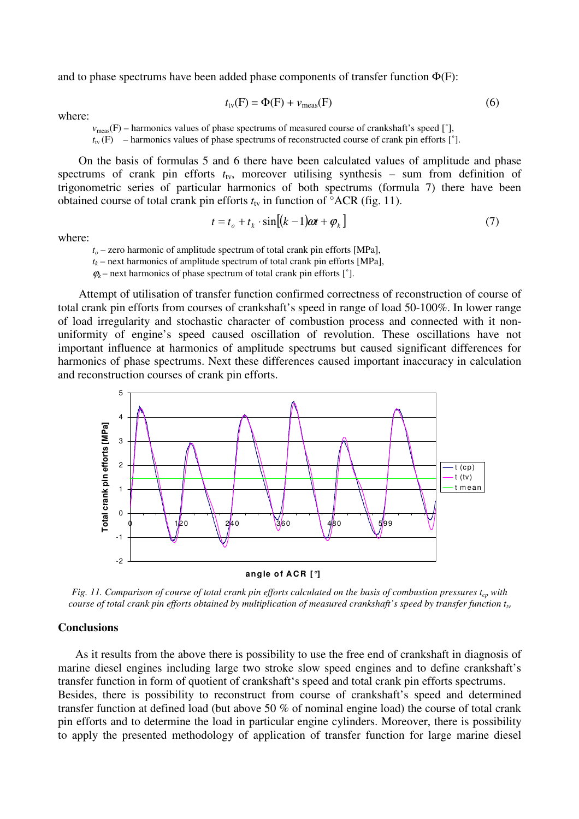and to phase spectrums have been added phase components of transfer function  $\Phi(F)$ :

$$
t_{\text{tv}}(F) = \Phi(F) + v_{\text{meas}}(F) \tag{6}
$$

where:

 $v_{\text{meas}}(F)$  – harmonics values of phase spectrums of measured course of crankshaft's speed [ $\degree$ ],

 $t_{\text{tv}}$  (F) – harmonics values of phase spectrums of reconstructed course of crank pin efforts [ $\degree$ ].

On the basis of formulas 5 and 6 there have been calculated values of amplitude and phase spectrums of crank pin efforts  $t<sub>tv</sub>$ , moreover utilising synthesis – sum from definition of trigonometric series of particular harmonics of both spectrums (formula 7) there have been obtained course of total crank pin efforts  $t<sub>tv</sub>$  in function of  $^{\circ}$ ACR (fig. 11).

$$
t = t_o + t_k \cdot \sin[(k-1)\omega t + \varphi_k]
$$
 (7)

where:

*t<sup>o</sup>* – zero harmonic of amplitude spectrum of total crank pin efforts [MPa],

 $t_k$  – next harmonics of amplitude spectrum of total crank pin efforts [MPa],

 $\varphi_k$  – next harmonics of phase spectrum of total crank pin efforts  $\lceil \varphi_k \rceil$ .

Attempt of utilisation of transfer function confirmed correctness of reconstruction of course of total crank pin efforts from courses of crankshaft's speed in range of load 50-100%. In lower range of load irregularity and stochastic character of combustion process and connected with it nonuniformity of engine's speed caused oscillation of revolution. These oscillations have not important influence at harmonics of amplitude spectrums but caused significant differences for harmonics of phase spectrums. Next these differences caused important inaccuracy in calculation and reconstruction courses of crank pin efforts.



*Fig. 11. Comparison of course of total crank pin efforts calculated on the basis of combustion pressures*  $t_{cp}$  *with course of total crank pin efforts obtained by multiplication of measured crankshaft's speed by transfer function ttv*

### **Conclusions**

As it results from the above there is possibility to use the free end of crankshaft in diagnosis of marine diesel engines including large two stroke slow speed engines and to define crankshaft's transfer function in form of quotient of crankshaft's speed and total crank pin efforts spectrums. Besides, there is possibility to reconstruct from course of crankshaft's speed and determined transfer function at defined load (but above 50 % of nominal engine load) the course of total crank pin efforts and to determine the load in particular engine cylinders. Moreover, there is possibility to apply the presented methodology of application of transfer function for large marine diesel